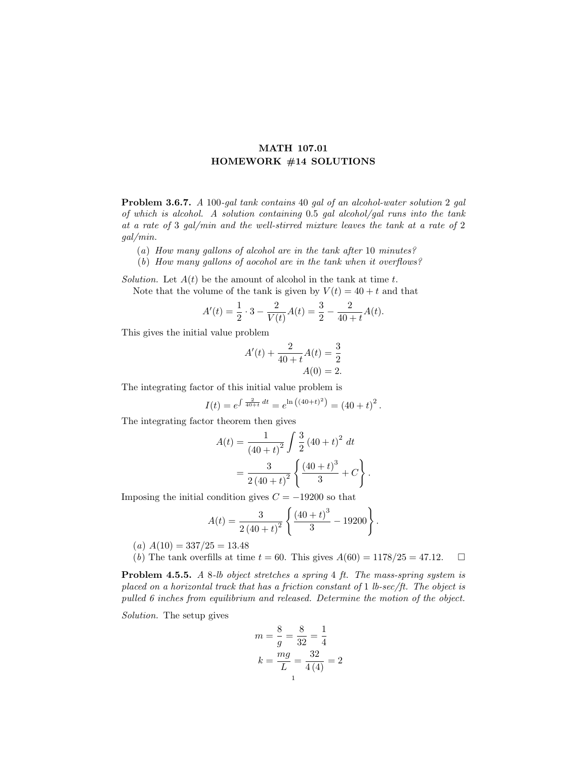## MATH 107.01 HOMEWORK #14 SOLUTIONS

Problem 3.6.7. A 100-gal tank contains 40 gal of an alcohol-water solution 2 gal of which is alcohol. A solution containing 0.5 gal alcohol/gal runs into the tank at a rate of 3 gal/min and the well-stirred mixture leaves the tank at a rate of 2 gal/min.

- (a) How many gallons of alcohol are in the tank after 10 minutes?
- (b) How many gallons of aocohol are in the tank when it overflows?

Solution. Let  $A(t)$  be the amount of alcohol in the tank at time t. Note that the volume of the tank is given by  $V(t) = 40 + t$  and that

$$
A'(t) = \frac{1}{2} \cdot 3 - \frac{2}{V(t)} A(t) = \frac{3}{2} - \frac{2}{40 + t} A(t).
$$

This gives the initial value problem

$$
A'(t) + \frac{2}{40+t}A(t) = \frac{3}{2}
$$
  

$$
A(0) = 2.
$$

The integrating factor of this initial value problem is

$$
I(t) = e^{\int \frac{2}{40+t} dt} = e^{\ln((40+t)^{2})} = (40+t)^{2}.
$$

The integrating factor theorem then gives

$$
A(t) = \frac{1}{(40+t)^2} \int \frac{3}{2} (40+t)^2 dt
$$
  
= 
$$
\frac{3}{2 (40+t)^2} \left\{ \frac{(40+t)^3}{3} + C \right\}
$$

.

Imposing the initial condition gives  $C = -19200$  so that

$$
A(t) = \frac{3}{2(40+t)^2} \left\{ \frac{(40+t)^3}{3} - 19200 \right\}.
$$

- $(a) A(10) = 337/25 = 13.48$
- (b) The tank overfills at time  $t = 60$ . This gives  $A(60) = 1178/25 = 47.12$ .  $\Box$

Problem 4.5.5. A 8-lb object stretches a spring 4 ft. The mass-spring system is placed on a horizontal track that has a friction constant of 1 lb-sec/ft. The object is pulled 6 inches from equilibrium and released. Determine the motion of the object.

Solution. The setup gives

$$
m = \frac{8}{g} = \frac{8}{32} = \frac{1}{4}
$$

$$
k = \frac{mg}{L} = \frac{32}{4(4)} = 2
$$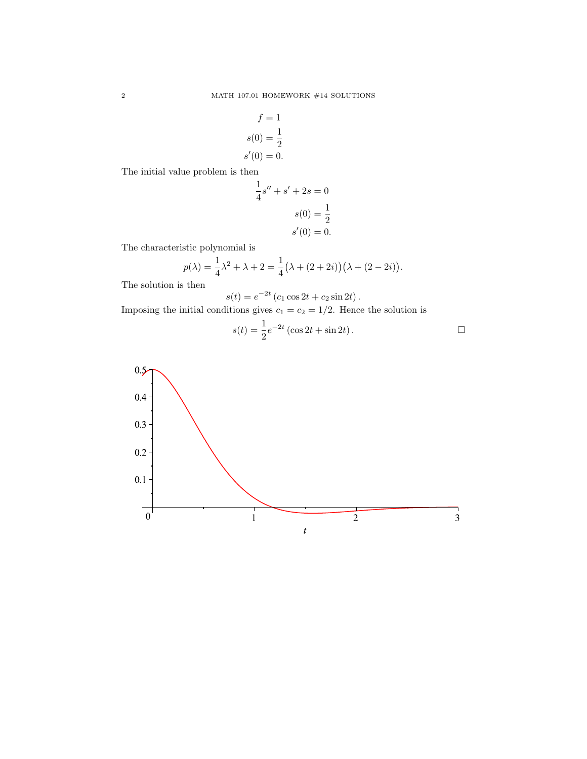$$
f = 1
$$

$$
s(0) = \frac{1}{2}
$$

$$
s'(0) = 0.
$$

The initial value problem is then

$$
\frac{1}{4}s'' + s' + 2s = 0
$$

$$
s(0) = \frac{1}{2}
$$

$$
s'(0) = 0.
$$

The characteristic polynomial is

$$
p(\lambda) = \frac{1}{4}\lambda^2 + \lambda + 2 = \frac{1}{4}(\lambda + (2 + 2i))(\lambda + (2 - 2i)).
$$

The solution is then

$$
s(t) = e^{-2t} (c_1 \cos 2t + c_2 \sin 2t).
$$

Imposing the initial conditions gives  $c_1 = c_2 = 1/2$ . Hence the solution is

$$
s(t) = \frac{1}{2}e^{-2t} (\cos 2t + \sin 2t).
$$

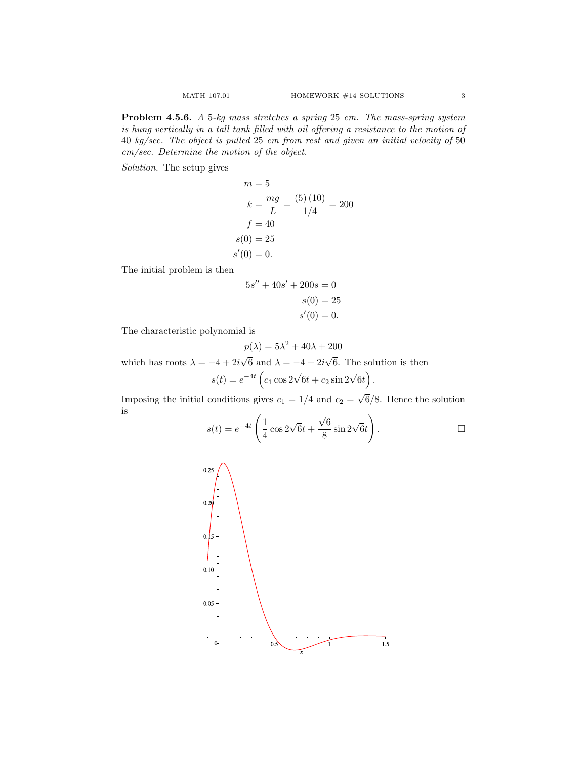Problem 4.5.6. A 5-kg mass stretches a spring 25 cm. The mass-spring system is hung vertically in a tall tank filled with oil offering a resistance to the motion of 40 kg/sec. The object is pulled 25 cm from rest and given an initial velocity of 50 cm/sec. Determine the motion of the object.

Solution. The setup gives

$$
m = 5
$$
  
\n
$$
k = \frac{mg}{L} = \frac{(5)(10)}{1/4} = 200
$$
  
\n
$$
f = 40
$$
  
\n
$$
s(0) = 25
$$
  
\n
$$
s'(0) = 0.
$$

The initial problem is then

$$
5s'' + 40s' + 200s = 0
$$

$$
s(0) = 25
$$

$$
s'(0) = 0.
$$

The characteristic polynomial is

$$
p(\lambda) = 5\lambda^2 + 40\lambda + 200
$$

which has roots  $\lambda = -4 + 2i$ 6 and  $\lambda = -4 + 2i$ 6. The solution is then

$$
s(t) = e^{-4t} \left( c_1 \cos 2\sqrt{6}t + c_2 \sin 2\sqrt{6}t \right).
$$

Imposing the initial conditions gives  $c_1 = 1/4$  and  $c_2 =$ 6/8. Hence the solution is √

$$
s(t) = e^{-4t} \left( \frac{1}{4} \cos 2\sqrt{6}t + \frac{\sqrt{6}}{8} \sin 2\sqrt{6}t \right).
$$

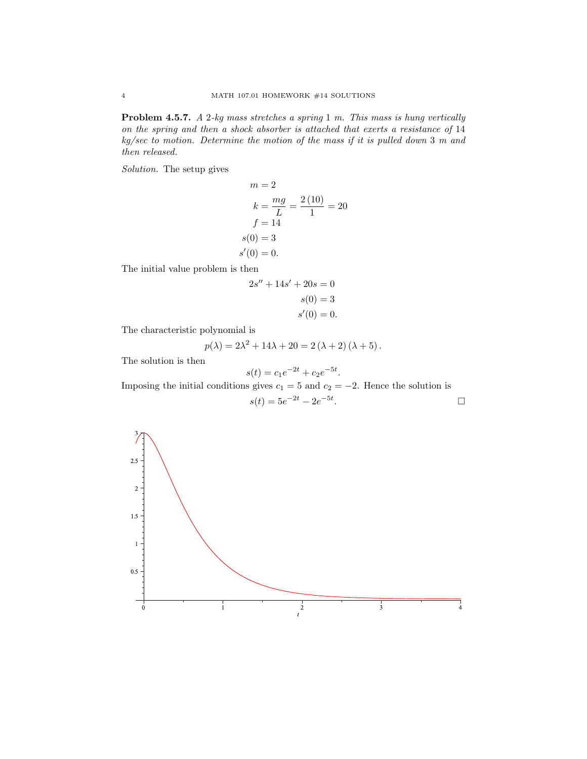Problem 4.5.7. A 2-kg mass stretches a spring 1 m. This mass is hung vertically on the spring and then a shock absorber is attached that exerts a resistance of 14 kg/sec to motion. Determine the motion of the mass if it is pulled down 3 m and then released.

Solution. The setup gives

$$
m = 2
$$
  
\n
$$
k = \frac{mg}{L} = \frac{2(10)}{1} = 20
$$
  
\n
$$
f = 14
$$
  
\n
$$
s(0) = 3
$$
  
\n
$$
s'(0) = 0.
$$

The initial value problem is then

$$
2s'' + 14s' + 20s = 0
$$

$$
s(0) = 3
$$

$$
s'(0) = 0.
$$

The characteristic polynomial is

$$
p(\lambda) = 2\lambda^{2} + 14\lambda + 20 = 2(\lambda + 2)(\lambda + 5).
$$

The solution is then

$$
s(t) = c_1 e^{-2t} + c_2 e^{-5t}.
$$

Imposing the initial conditions gives  $c_1 = 5$  and  $c_2 = -2$ . Hence the solution is

$$
s(t) = 5e^{-2t} - 2e^{-5t}.
$$

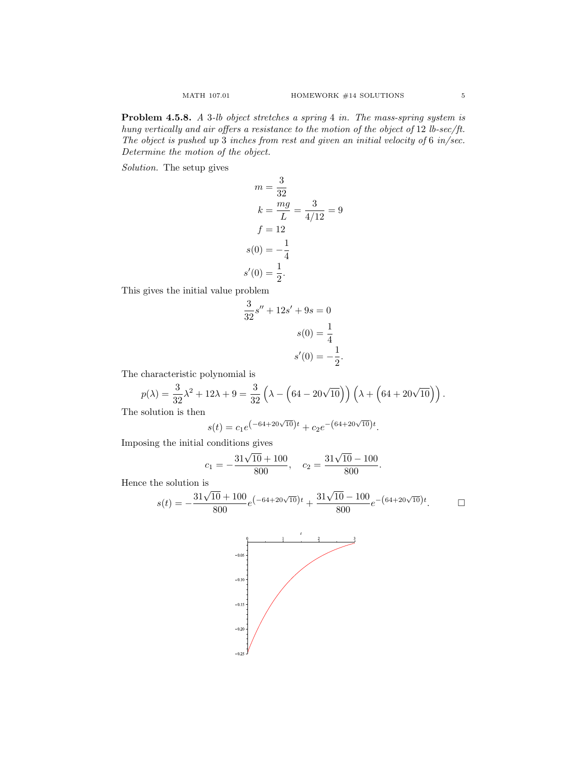Problem 4.5.8. A 3-lb object stretches a spring 4 in. The mass-spring system is hung vertically and air offers a resistance to the motion of the object of 12 lb-sec/ft. The object is pushed up 3 inches from rest and given an initial velocity of 6 in/sec. Determine the motion of the object.

Solution. The setup gives

$$
m = \frac{3}{32}
$$
  
\n
$$
k = \frac{mg}{L} = \frac{3}{4/12} = 9
$$
  
\n
$$
f = 12
$$
  
\n
$$
s(0) = -\frac{1}{4}
$$
  
\n
$$
s'(0) = \frac{1}{2}.
$$

This gives the initial value problem

$$
\frac{3}{32}s'' + 12s' + 9s = 0
$$

$$
s(0) = \frac{1}{4}
$$

$$
s'(0) = -\frac{1}{2}.
$$

The characteristic polynomial is

$$
p(\lambda)=\frac{3}{32}\lambda^2+12\lambda+9=\frac{3}{32}\left(\lambda-\left(64-20\sqrt{10}\right)\right)\left(\lambda+\left(64+20\sqrt{10}\right)\right).
$$

The solution is then

$$
s(t) = c_1 e^{\left(-64 + 20\sqrt{10}\right)t} + c_2 e^{-\left(64 + 20\sqrt{10}\right)t}.
$$

Imposing the initial conditions gives  $31\sqrt{10} +$ 

$$
c_1 = -\frac{31\sqrt{10} + 100}{800}
$$
,  $c_2 = \frac{31\sqrt{10} - 100}{800}$ .

Hence the solution is  $31\sqrt{ }$ 

$$
s(t) = -\frac{31\sqrt{10} + 100}{800}e^{(-64 + 20\sqrt{10})t} + \frac{31\sqrt{10} - 100}{800}e^{-(64 + 20\sqrt{10})t}.
$$

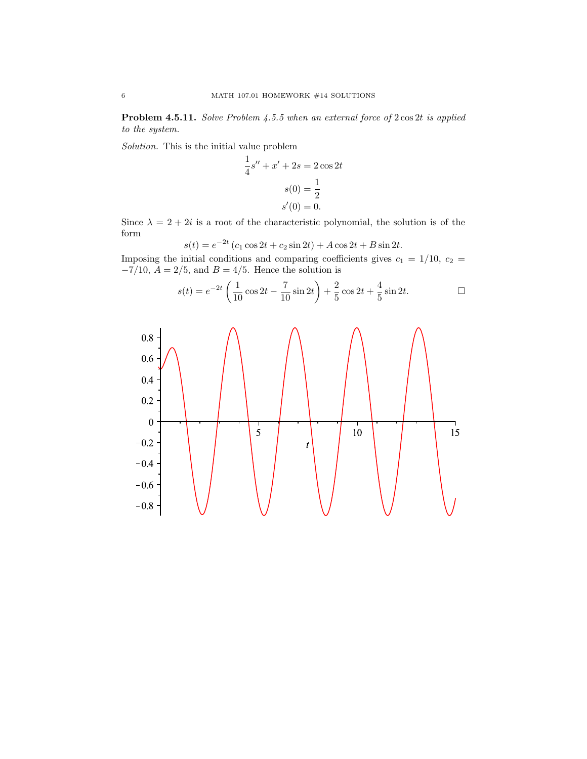Problem 4.5.11. Solve Problem 4.5.5 when an external force of  $2 \cos 2t$  is applied to the system.

Solution. This is the initial value problem

$$
\frac{1}{4}s'' + x' + 2s = 2\cos 2t
$$

$$
s(0) = \frac{1}{2}
$$

$$
s'(0) = 0.
$$

Since  $\lambda = 2 + 2i$  is a root of the characteristic polynomial, the solution is of the form  $2t$ 

$$
s(t) = e^{-2t} (c_1 \cos 2t + c_2 \sin 2t) + A \cos 2t + B \sin 2t.
$$

Imposing the initial conditions and comparing coefficients gives  $c_1 = 1/10$ ,  $c_2 =$  $-7/10$ ,  $A = 2/5$ , and  $B = 4/5$ . Hence the solution is

$$
s(t) = e^{-2t} \left( \frac{1}{10} \cos 2t - \frac{7}{10} \sin 2t \right) + \frac{2}{5} \cos 2t + \frac{4}{5} \sin 2t.
$$